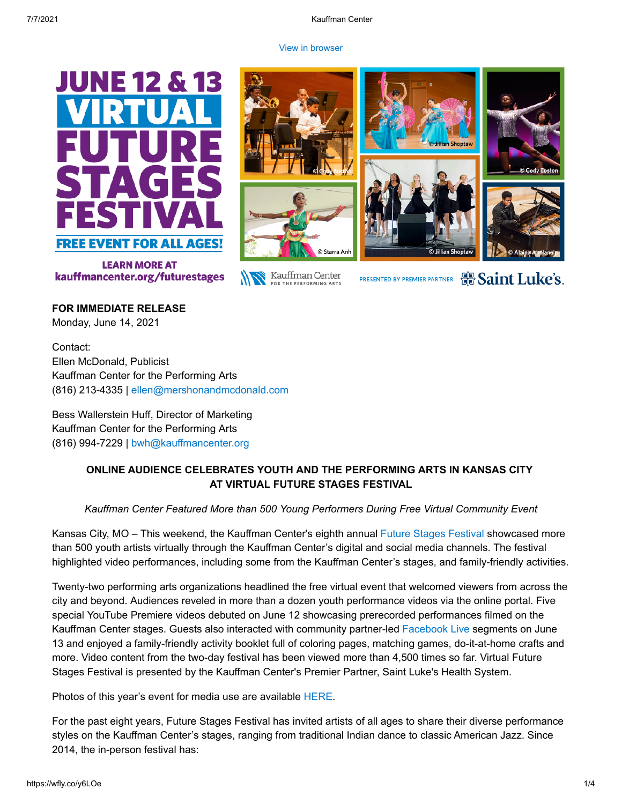#### [View in browser](http://tracking.wordfly.com/view?sid=MTc4XzE0MTU3XzEzMTExXzY3ODg&l=3fca546f-29ca-eb11-a826-0050569d9d1d&utm_source=wordfly&utm_medium=email&utm_campaign=Release%3AVFSF2021-Post-Event&utm_content=version_A&sourceNumber=)





Kauffman Center FOR THE PERFORMING ARTS



PRESENTED BY PREMIER PARTNER: 8 Saint Luke's.

**FOR IMMEDIATE RELEASE** Monday, June 14, 2021

Contact: Ellen McDonald, Publicist Kauffman Center for the Performing Arts (816) 213-4335 | [ellen@mershonandmcdonald.com](mailto:ellen@mershonandmcdonald.com)

Bess Wallerstein Huff, Director of Marketing Kauffman Center for the Performing Arts (816) 994-7229 | [bwh@kauffmancenter.org](mailto:bwh@kauffmancenter.org)

# **ONLINE AUDIENCE CELEBRATES YOUTH AND THE PERFORMING ARTS IN KANSAS CITY AT VIRTUAL FUTURE STAGES FESTIVAL**

*Kauffman Center Featured More than 500 Young Performers During Free Virtual Community Event*

Kansas City, MO – This weekend, the Kauffman Center's eighth annual [Future Stages](https://e.wordfly.com/click?sid=MTc4XzE0MTU3XzEzMTExXzY3ODg&l=a241c05d-20cd-eb11-a826-0050569d9d1d&utm_source=wordfly&utm_medium=email&utm_campaign=Release%3AVFSF2021-Post-Event&utm_content=version_A&sourceNumber=) Festival showcased more than 500 youth artists virtually through the Kauffman Center's digital and social media channels. The festival highlighted video performances, including some from the Kauffman Center's stages, and family-friendly activities.

Twenty-two performing arts organizations headlined the free virtual event that welcomed viewers from across the city and beyond. Audiences reveled in more than a dozen youth performance videos via the online portal. Five special YouTube Premiere videos debuted on June 12 showcasing prerecorded performances filmed on the Kauffman Center stages. Guests also interacted with community partner-led [Facebook Live](https://e.wordfly.com/click?sid=MTc4XzE0MTU3XzEzMTExXzY3ODg&l=a341c05d-20cd-eb11-a826-0050569d9d1d&utm_source=wordfly&utm_medium=email&utm_campaign=Release%3AVFSF2021-Post-Event&utm_content=version_A&sourceNumber=) segments on June 13 and enjoyed a family-friendly activity booklet full of coloring pages, matching games, do-it-at-home crafts and more. Video content from the two-day festival has been viewed more than 4,500 times so far. Virtual Future Stages Festival is presented by the Kauffman Center's Premier Partner, Saint Luke's Health System.

Photos of this year's event for media use are available [HERE.](https://e.wordfly.com/click?sid=MTc4XzE0MTU3XzEzMTExXzY3ODg&l=43ca546f-29ca-eb11-a826-0050569d9d1d&utm_source=wordfly&utm_medium=email&utm_campaign=Release%3AVFSF2021-Post-Event&utm_content=version_A&sourceNumber=)

For the past eight years, Future Stages Festival has invited artists of all ages to share their diverse performance styles on the Kauffman Center's stages, ranging from traditional Indian dance to classic American Jazz. Since 2014, the in-person festival has: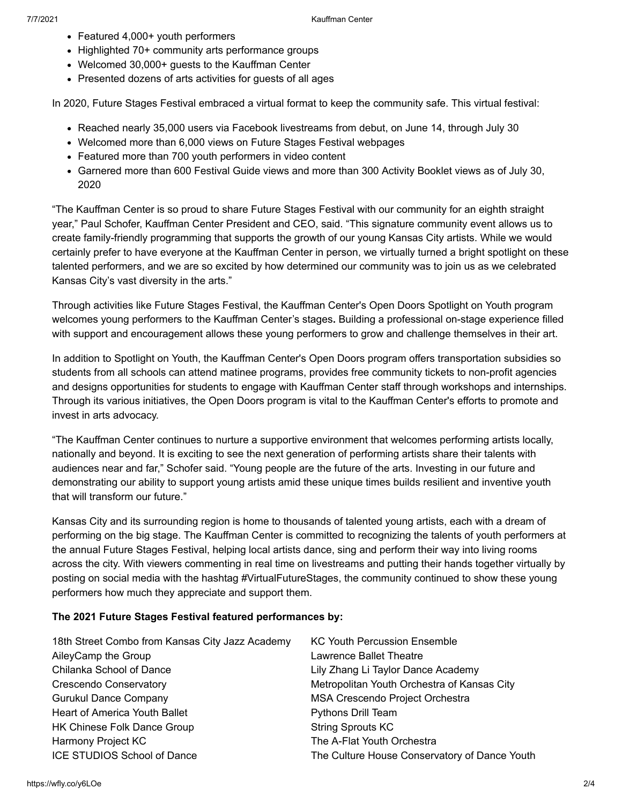- Featured 4,000+ youth performers
- Highlighted 70+ community arts performance groups
- Welcomed 30,000+ guests to the Kauffman Center
- Presented dozens of arts activities for guests of all ages

In 2020, Future Stages Festival embraced a virtual format to keep the community safe. This virtual festival:

- Reached nearly 35,000 users via Facebook livestreams from debut, on June 14, through July 30
- Welcomed more than 6,000 views on Future Stages Festival webpages
- Featured more than 700 youth performers in video content
- Garnered more than 600 Festival Guide views and more than 300 Activity Booklet views as of July 30, 2020

"The Kauffman Center is so proud to share Future Stages Festival with our community for an eighth straight year," Paul Schofer, Kauffman Center President and CEO, said. "This signature community event allows us to create family-friendly programming that supports the growth of our young Kansas City artists. While we would certainly prefer to have everyone at the Kauffman Center in person, we virtually turned a bright spotlight on these talented performers, and we are so excited by how determined our community was to join us as we celebrated Kansas City's vast diversity in the arts."

Through activities like Future Stages Festival, the Kauffman Center's Open Doors Spotlight on Youth program welcomes young performers to the Kauffman Center's stages**.** Building a professional on-stage experience filled with support and encouragement allows these young performers to grow and challenge themselves in their art.

In addition to Spotlight on Youth, the Kauffman Center's Open Doors program offers transportation subsidies so students from all schools can attend matinee programs, provides free community tickets to non-profit agencies and designs opportunities for students to engage with Kauffman Center staff through workshops and internships. Through its various initiatives, the Open Doors program is vital to the Kauffman Center's efforts to promote and invest in arts advocacy.

"The Kauffman Center continues to nurture a supportive environment that welcomes performing artists locally, nationally and beyond. It is exciting to see the next generation of performing artists share their talents with audiences near and far," Schofer said. "Young people are the future of the arts. Investing in our future and demonstrating our ability to support young artists amid these unique times builds resilient and inventive youth that will transform our future."

Kansas City and its surrounding region is home to thousands of talented young artists, each with a dream of performing on the big stage. The Kauffman Center is committed to recognizing the talents of youth performers at the annual Future Stages Festival, helping local artists dance, sing and perform their way into living rooms across the city. With viewers commenting in real time on livestreams and putting their hands together virtually by posting on social media with the hashtag #VirtualFutureStages, the community continued to show these young performers how much they appreciate and support them.

#### **The 2021 Future Stages Festival featured performances by:**

| 18th Street Combo from Kansas City Jazz Academy | <b>KC Youth Percussion Ensemble</b>           |
|-------------------------------------------------|-----------------------------------------------|
| AileyCamp the Group                             | Lawrence Ballet Theatre                       |
| Chilanka School of Dance                        | Lily Zhang Li Taylor Dance Academy            |
| Crescendo Conservatory                          | Metropolitan Youth Orchestra of Kansas City   |
| <b>Gurukul Dance Company</b>                    | MSA Crescendo Project Orchestra               |
| Heart of America Youth Ballet                   | <b>Pythons Drill Team</b>                     |
| <b>HK Chinese Folk Dance Group</b>              | <b>String Sprouts KC</b>                      |
| Harmony Project KC                              | The A-Flat Youth Orchestra                    |
| <b>ICE STUDIOS School of Dance</b>              | The Culture House Conservatory of Dance Youth |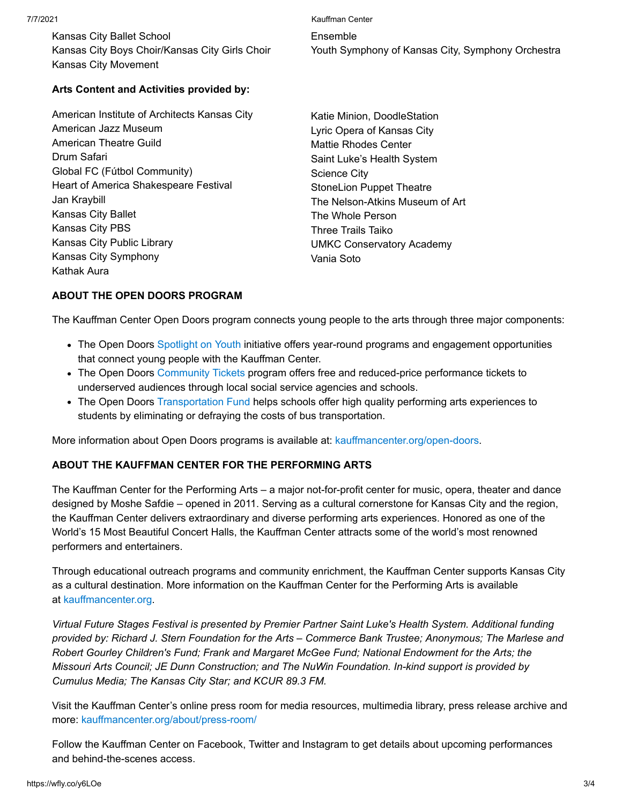Kansas City Ballet School Kansas City Boys Choir/Kansas City Girls Choir Kansas City Movement

7/7/2021 Kauffman Center Ensemble Youth Symphony of Kansas City, Symphony Orchestra

## **Arts Content and Activities provided by:**

American Institute of Architects Kansas City American Jazz Museum American Theatre Guild Drum Safari Global FC (Fútbol Community) Heart of America Shakespeare Festival Jan Kraybill Kansas City Ballet Kansas City PBS Kansas City Public Library Kansas City Symphony Kathak Aura

Katie Minion, DoodleStation Lyric Opera of Kansas City Mattie Rhodes Center Saint Luke's Health System Science City StoneLion Puppet Theatre The Nelson-Atkins Museum of Art The Whole Person Three Trails Taiko UMKC Conservatory Academy Vania Soto

### **ABOUT THE OPEN DOORS PROGRAM**

The Kauffman Center Open Doors program connects young people to the arts through three major components:

- The Open Doors [Spotlight on Youth](https://e.wordfly.com/click?sid=MTc4XzE0MTU3XzEzMTExXzY3ODg&l=44ca546f-29ca-eb11-a826-0050569d9d1d&utm_source=wordfly&utm_medium=email&utm_campaign=Release%3AVFSF2021-Post-Event&utm_content=version_A&sourceNumber=) initiative offers year-round programs and engagement opportunities that connect young people with the Kauffman Center.
- The Open Doors [Community Tickets](https://e.wordfly.com/click?sid=MTc4XzE0MTU3XzEzMTExXzY3ODg&l=45ca546f-29ca-eb11-a826-0050569d9d1d&utm_source=wordfly&utm_medium=email&utm_campaign=Release%3AVFSF2021-Post-Event&utm_content=version_A&sourceNumber=) program offers free and reduced-price performance tickets to underserved audiences through local social service agencies and schools.
- The Open Doors [Transportation Fund](https://e.wordfly.com/click?sid=MTc4XzE0MTU3XzEzMTExXzY3ODg&l=46ca546f-29ca-eb11-a826-0050569d9d1d&utm_source=wordfly&utm_medium=email&utm_campaign=Release%3AVFSF2021-Post-Event&utm_content=version_A&sourceNumber=) helps schools offer high quality performing arts experiences to students by eliminating or defraying the costs of bus transportation.

More information about Open Doors programs is available at: [kauffmancenter.org/open-doors](https://e.wordfly.com/click?sid=MTc4XzE0MTU3XzEzMTExXzY3ODg&l=47ca546f-29ca-eb11-a826-0050569d9d1d&utm_source=wordfly&utm_medium=email&utm_campaign=Release%3AVFSF2021-Post-Event&utm_content=version_A&sourceNumber=).

#### **ABOUT THE KAUFFMAN CENTER FOR THE PERFORMING ARTS**

The Kauffman Center for the Performing Arts – a major not-for-profit center for music, opera, theater and dance designed by Moshe Safdie – opened in 2011. Serving as a cultural cornerstone for Kansas City and the region, the Kauffman Center delivers extraordinary and diverse performing arts experiences. Honored as one of the World's 15 Most Beautiful Concert Halls, the Kauffman Center attracts some of the world's most renowned performers and entertainers.

Through educational outreach programs and community enrichment, the Kauffman Center supports Kansas City as a cultural destination. More information on the Kauffman Center for the Performing Arts is available at [kauffmancenter.org.](https://e.wordfly.com/click?sid=MTc4XzE0MTU3XzEzMTExXzY3ODg&l=48ca546f-29ca-eb11-a826-0050569d9d1d&utm_source=wordfly&utm_medium=email&utm_campaign=Release%3AVFSF2021-Post-Event&utm_content=version_A&sourceNumber=)

*Virtual Future Stages Festival is presented by Premier Partner Saint Luke's Health System. Additional funding provided by: Richard J. Stern Foundation for the Arts – Commerce Bank Trustee; Anonymous; The Marlese and Robert Gourley Children's Fund; Frank and Margaret McGee Fund; National Endowment for the Arts; the Missouri Arts Council; JE Dunn Construction; and The NuWin Foundation. In-kind support is provided by Cumulus Media; The Kansas City Star; and KCUR 89.3 FM.*

Visit the Kauffman Center's online press room for media resources, multimedia library, press release archive and more: [kauffmancenter.org/about/press-room/](https://e.wordfly.com/click?sid=MTc4XzE0MTU3XzEzMTExXzY3ODg&l=49ca546f-29ca-eb11-a826-0050569d9d1d&utm_source=wordfly&utm_medium=email&utm_campaign=Release%3AVFSF2021-Post-Event&utm_content=version_A&sourceNumber=)

Follow the Kauffman Center on Facebook, Twitter and Instagram to get details about upcoming performances and behind-the-scenes access.